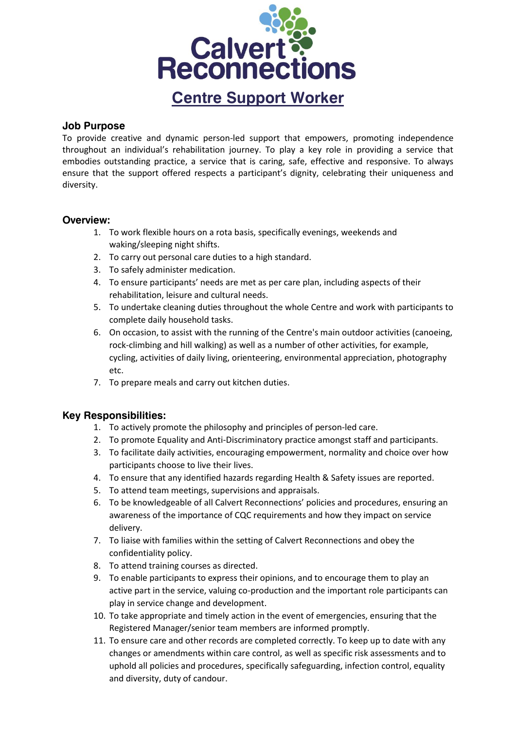

#### **Job Purpose**

To provide creative and dynamic person-led support that empowers, promoting independence throughout an individual's rehabilitation journey. To play a key role in providing a service that embodies outstanding practice, a service that is caring, safe, effective and responsive. To always ensure that the support offered respects a participant's dignity, celebrating their uniqueness and diversity.

# **Overview:**

- 1. To work flexible hours on a rota basis, specifically evenings, weekends and waking/sleeping night shifts.
- 2. To carry out personal care duties to a high standard.
- 3. To safely administer medication.
- 4. To ensure participants' needs are met as per care plan, including aspects of their rehabilitation, leisure and cultural needs.
- 5. To undertake cleaning duties throughout the whole Centre and work with participants to complete daily household tasks.
- 6. On occasion, to assist with the running of the Centre's main outdoor activities (canoeing, rock-climbing and hill walking) as well as a number of other activities, for example, cycling, activities of daily living, orienteering, environmental appreciation, photography etc.
- 7. To prepare meals and carry out kitchen duties.

# **Key Responsibilities:**

- 1. To actively promote the philosophy and principles of person-led care.
- 2. To promote Equality and Anti-Discriminatory practice amongst staff and participants.
- 3. To facilitate daily activities, encouraging empowerment, normality and choice over how participants choose to live their lives.
- 4. To ensure that any identified hazards regarding Health & Safety issues are reported.
- 5. To attend team meetings, supervisions and appraisals.
- 6. To be knowledgeable of all Calvert Reconnections' policies and procedures, ensuring an awareness of the importance of CQC requirements and how they impact on service delivery.
- 7. To liaise with families within the setting of Calvert Reconnections and obey the confidentiality policy.
- 8. To attend training courses as directed.
- 9. To enable participants to express their opinions, and to encourage them to play an active part in the service, valuing co-production and the important role participants can play in service change and development.
- 10. To take appropriate and timely action in the event of emergencies, ensuring that the Registered Manager/senior team members are informed promptly.
- 11. To ensure care and other records are completed correctly. To keep up to date with any changes or amendments within care control, as well as specific risk assessments and to uphold all policies and procedures, specifically safeguarding, infection control, equality and diversity, duty of candour.